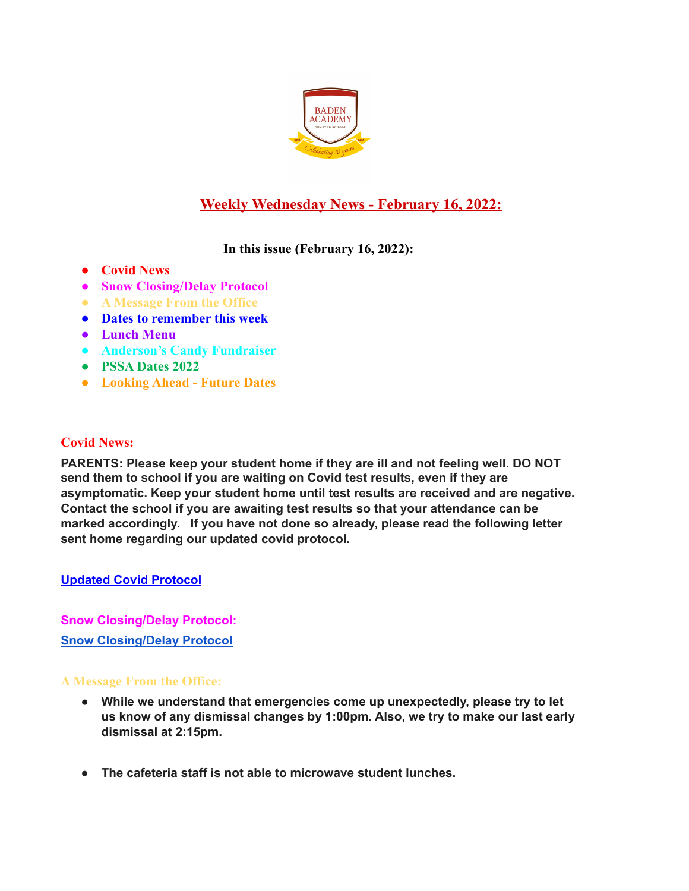

# **Weekly Wednesday News - February 16, 2022:**

# **In this issue (February 16, 2022):**

- **● Covid News**
- **● Snow Closing/Delay Protocol**
- **● A Message From the Office**
- **● Dates to remember this week**
- **● Lunch Menu**
- **● Anderson's Candy Fundraiser**
- **● PSSA Dates 2022**
- **● Looking Ahead Future Dates**

# **Covid News:**

**PARENTS: Please keep your student home if they are ill and not feeling well. DO NOT send them to school if you are waiting on Covid test results, even if they are asymptomatic. Keep your student home until test results are received and are negative. Contact the school if you are awaiting test results so that your attendance can be marked accordingly. If you have not done so already, please read the following letter sent home regarding our updated covid protocol.**

## **Updated Covid [Protocol](https://docs.google.com/document/d/1MZOfqQyHxK0uiJCWtP7Aq6GAK19-1s4aJ-rMMfStPco/edit?usp=sharing)**

**Snow Closing/Delay Protocol: Snow [Closing/Delay](https://docs.google.com/document/d/1TCXw_1OpX5C2j8ZTfeD61I61bbe-MxUwfsijlciAKfo/edit?usp=sharing) Protocol**

## **A Message From the Office:**

- **● While we understand that emergencies come up unexpectedly, please try to let us know of any dismissal changes by 1:00pm. Also, we try to make our last early dismissal at 2:15pm.**
- **● The cafeteria staff is not able to microwave student lunches.**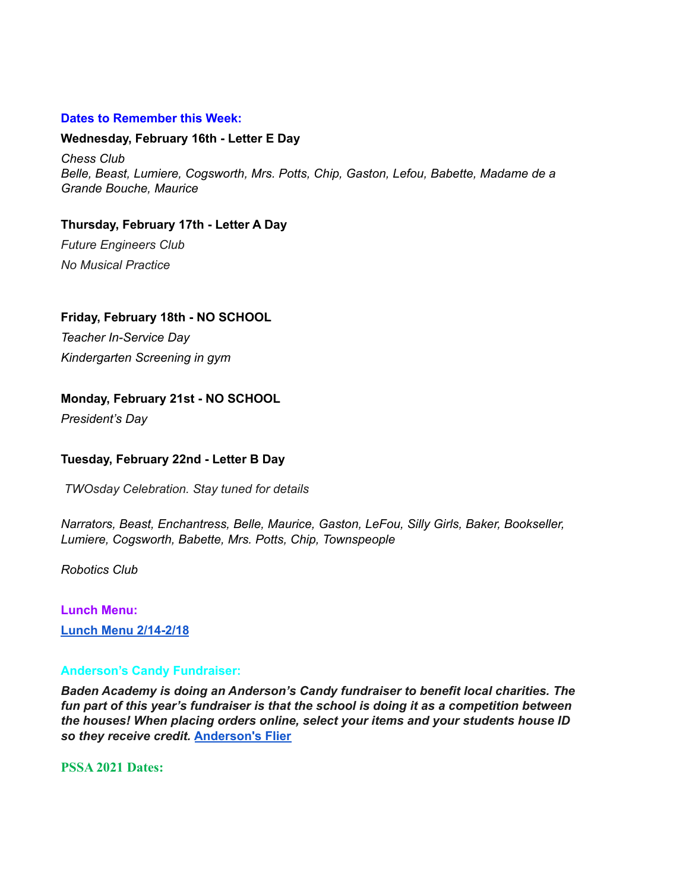#### **Dates to Remember this Week:**

#### **Wednesday, February 16th - Letter E Day**

*Chess Club Belle, Beast, Lumiere, Cogsworth, Mrs. Potts, Chip, Gaston, Lefou, Babette, Madame de a Grande Bouche, Maurice*

# **Thursday, February 17th - Letter A Day**

*Future Engineers Club No Musical Practice*

**Friday, February 18th - NO SCHOOL** *Teacher In-Service Day Kindergarten Screening in gym*

### **Monday, February 21st - NO SCHOOL**

*President's Day*

### **Tuesday, February 22nd - Letter B Day**

*TWOsday Celebration. Stay tuned for details*

*Narrators, Beast, Enchantress, Belle, Maurice, Gaston, LeFou, Silly Girls, Baker, Bookseller, Lumiere, Cogsworth, Babette, Mrs. Potts, Chip, Townspeople*

*Robotics Club*

**Lunch Menu: Lunch Menu [2/14-2/18](https://docs.google.com/document/d/15Ipm20K57IpezPR03jbbBllhHcBu5dG45sOEEsmIP9w/edit?usp=sharing)**

### **Anderson's Candy Fundraiser:**

*Baden Academy is doing an Anderson's Candy fundraiser to benefit local charities. The fun part of this year's fundraiser is that the school is doing it as a competition between the houses! When placing orders online, select your items and your students house ID so they receive credit.* **[Anderson's](https://docs.google.com/document/d/1yvc2myMqrRNhyYpu0DteMPuBOEUma1BV_21eAD7ljDk/edit?usp=sharing) Flier**

**PSSA 2021 Dates:**